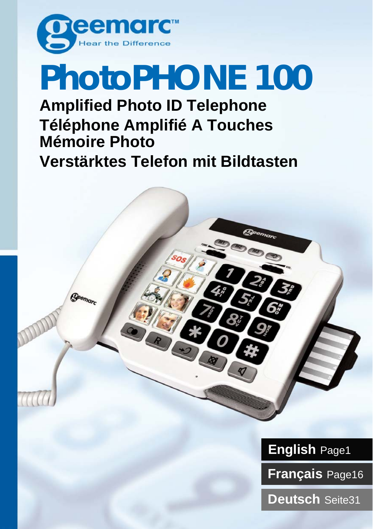

## **PhotoPHONE 100 Amplified Photo ID Telephone**

## **Téléphone Amplifié A Touches Mémoire Photo Verstärktes Telefon mit Bildtasten**

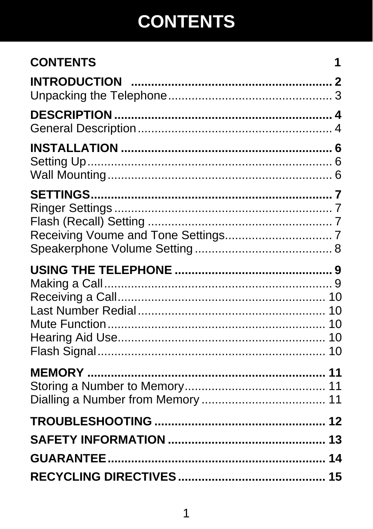## **CONTENTS**

| <b>CONTENTS</b> | 1 |
|-----------------|---|
|                 |   |
|                 |   |
|                 |   |
|                 |   |
|                 |   |
|                 |   |
|                 |   |
|                 |   |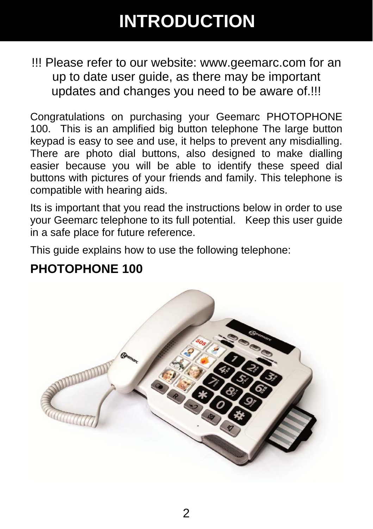## **INTRODUCTION**

!!! Please refer to our website: www.geemarc.com for an up to date user guide, as there may be important updates and changes you need to be aware of.!!!

Congratulations on purchasing your Geemarc PHOTOPHONE 100. This is an amplified big button telephone The large button keypad is easy to see and use, it helps to prevent any misdialling. There are photo dial buttons, also designed to make dialling easier because you will be able to identify these speed dial buttons with pictures of your friends and family. This telephone is compatible with hearing aids.

Its is important that you read the instructions below in order to use your Geemarc telephone to its full potential. Keep this user guide in a safe place for future reference.

This guide explains how to use the following telephone:

### **PHOTOPHONE 100**

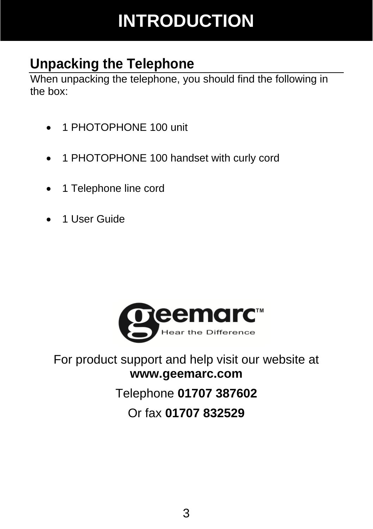## **INTRODUCTION**

### **Unpacking the Telephone**

When unpacking the telephone, you should find the following in the box:

- 1 PHOTOPHONE 100 unit
- 1 PHOTOPHONE 100 handset with curly cord
- 1 Telephone line cord
- 1 User Guide



#### For product support and help visit our website at **www.geemarc.com**

### Telephone **01707 387602**

#### Or fax **01707 832529**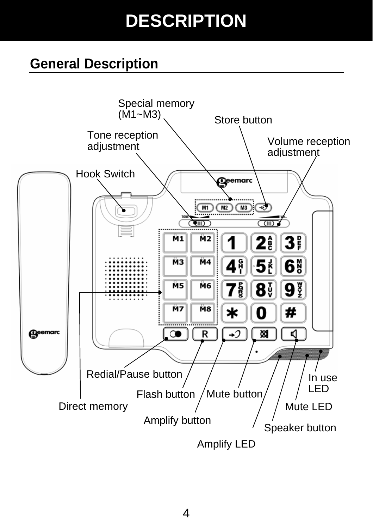## **DESCRIPTION**

### **General Description**

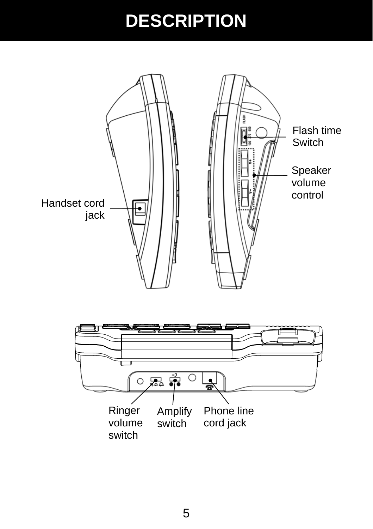## **DESCRIPTION**

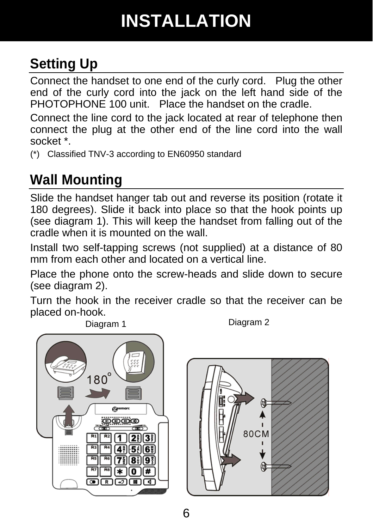## **INSTALLATION**

### **Setting Up**

Connect the handset to one end of the curly cord. Plug the other end of the curly cord into the jack on the left hand side of the PHOTOPHONE 100 unit. Place the handset on the cradle.

Connect the line cord to the jack located at rear of telephone then connect the plug at the other end of the line cord into the wall socket \*.

(\*) Classified TNV-3 according to EN60950 standard

### **Wall Mounting**

Slide the handset hanger tab out and reverse its position (rotate it 180 degrees). Slide it back into place so that the hook points up (see diagram 1). This will keep the handset from falling out of the cradle when it is mounted on the wall.

Install two self-tapping screws (not supplied) at a distance of 80 mm from each other and located on a vertical line.

Place the phone onto the screw-heads and slide down to secure (see diagram 2).

Turn the hook in the receiver cradle so that the receiver can be placed on-hook.



Diagram 1 Diagram 2

**80CM** 凤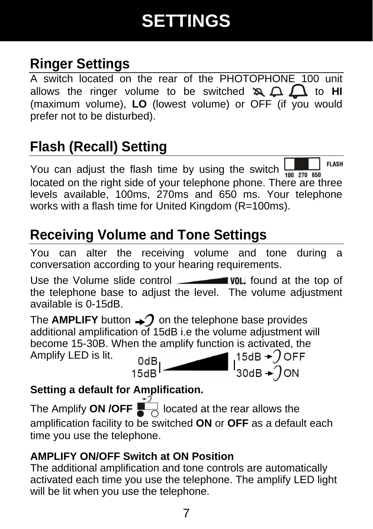## **SETTINGS**

### **Ringer Settings**

A switch located on the rear of the PHOTOPHONE 100 unit allows the ringer volume to be switched  $\mathbf{z} \Omega \Omega$  to **HI** (maximum volume), **LO** (lowest volume) or OFF (if you would prefer not to be disturbed).

### **Flash (Recall) Setting**

**FLASH** You can adjust the flash time by using the switch located on the right side of your telephone phone. There are three levels available, 100ms, 270ms and 650 ms. Your telephone works with a flash time for United Kingdom (R=100ms).

### **Receiving Volume and Tone Settings**

You can alter the receiving volume and tone during a conversation according to your hearing requirements.

Use the Volume slide control **WOL** found at the top of the telephone base to adjust the level. The volume adjustment available is 0-15dB.

The **AMPLIFY** button  $\rightarrow$  on the telephone base provides additional amplification of 15dB i.e the volume adjustment will become 15-30B. When the amplify function is activated, the<br>Amplify LED is lit.  $\begin{array}{c} 0 \text{dB} \\ 15 \text{dB} \end{array}$   $\begin{array}{c} 15 \text{dB} + 7 \text{OFF} \\ 30 \text{dB} + 7 \text{ON} \end{array}$ Amplify LED is lit.

l<sup>0dB</sup><br>15dB

#### **Setting a default for Amplification.**

The Amplify **ON /OFF**  $\overline{\bigcup_{n=0}^{+2}}$  located at the rear allows the amplification facility to be switched **ON** or **OFF** as a default each time you use the telephone.

#### **AMPLIFY ON/OFF Switch at ON Position**

The additional amplification and tone controls are automatically activated each time you use the telephone. The amplify LED light will be lit when you use the telephone.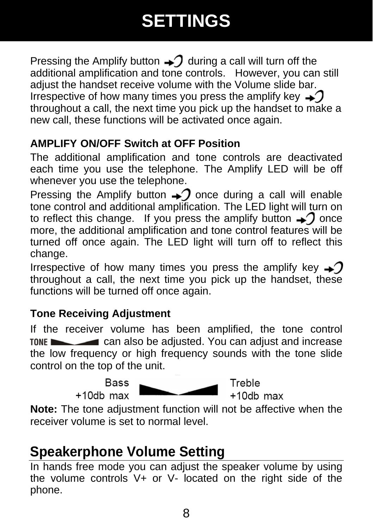## **SETTINGS**

Pressing the Amplify button  $\rightarrow$  during a call will turn off the additional amplification and tone controls. However, you can still adjust the handset receive volume with the Volume slide bar. Irrespective of how many times you press the amplify key  $\rightarrow$ throughout a call, the next time you pick up the handset to make a new call, these functions will be activated once again.

#### **AMPLIFY ON/OFF Switch at OFF Position**

The additional amplification and tone controls are deactivated each time you use the telephone. The Amplify LED will be off whenever you use the telephone.

Pressing the Amplify button  $\rightarrow$  once during a call will enable tone control and additional amplification. The LED light will turn on to reflect this change. If you press the amplify button  $\rightarrow$  once more, the additional amplification and tone control features will be turned off once again. The LED light will turn off to reflect this change.

Irrespective of how many times you press the amplify key  $\rightarrow$ throughout a call, the next time you pick up the handset, these functions will be turned off once again.

#### **Tone Receiving Adjustment**

If the receiver volume has been amplified, the tone control TONE can also be adjusted. You can adjust and increase the low frequency or high frequency sounds with the tone slide control on the top of the unit.

> **Bass**  $+10$ db max



Treble  $+10db$  max

**Note:** The tone adjustment function will not be affective when the receiver volume is set to normal level.

### **Speakerphone Volume Setting**

In hands free mode you can adjust the speaker volume by using the volume controls V+ or V- located on the right side of the phone.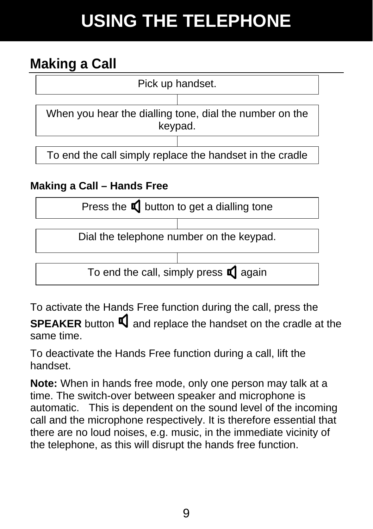## **USING THE TELEPHONE**

### **Making a Call**



Dial the telephone number on the keypad.

To end the call, simply press  $\Box$  again

To activate the Hands Free function during the call, press the

**SPEAKER** button  $\mathbf{\mathbb{I}}$  and replace the handset on the cradle at the same time.

To deactivate the Hands Free function during a call, lift the handset.

**Note:** When in hands free mode, only one person may talk at a time. The switch-over between speaker and microphone is automatic. This is dependent on the sound level of the incoming call and the microphone respectively. It is therefore essential that there are no loud noises, e.g. music, in the immediate vicinity of the telephone, as this will disrupt the hands free function.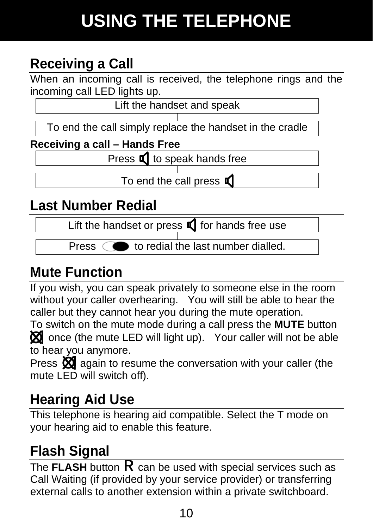## **USING THE TELEPHONE**

### **Receiving a Call**

When an incoming call is received, the telephone rings and the incoming call LED lights up.

Lift the handset and speak

To end the call simply replace the handset in the cradle

**Receiving a call – Hands Free** 

Press  $\blacksquare$  to speak hands free

To end the call press  $\blacksquare$ 

### **Last Number Redial**

Lift the handset or press  $\blacksquare$  for hands free use

Press  $\circ$  to redial the last number dialled.

### **Mute Function**

If you wish, you can speak privately to someone else in the room without your caller overhearing. You will still be able to hear the caller but they cannot hear you during the mute operation.

To switch on the mute mode during a call press the **MUTE** button  $\boxtimes$  once (the mute LED will light up). Your caller will not be able to hear you anymore.

Press  $\boxtimes$  again to resume the conversation with your caller (the mute LED will switch off).

### **Hearing Aid Use**

This telephone is hearing aid compatible. Select the T mode on your hearing aid to enable this feature.

### **Flash Signal**

The **FLASH** button  $\bf{R}$  can be used with special services such as Call Waiting (if provided by your service provider) or transferring external calls to another extension within a private switchboard.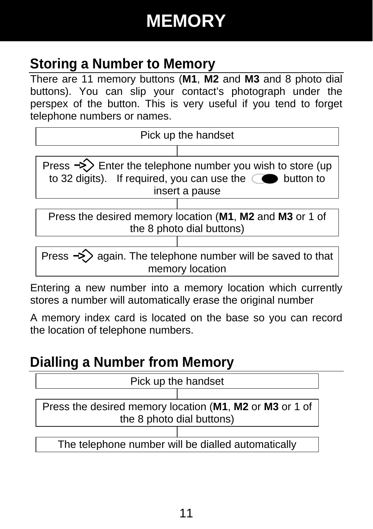## **MEMORY**

### **Storing a Number to Memory**

There are 11 memory buttons (**M1**, **M2** and **M3** and 8 photo dial buttons). You can slip your contact's photograph under the perspex of the button. This is very useful if you tend to forget telephone numbers or names.



memory location

Entering a new number into a memory location which currently stores a number will automatically erase the original number

A memory index card is located on the base so you can record the location of telephone numbers.

### **Dialling a Number from Memory**

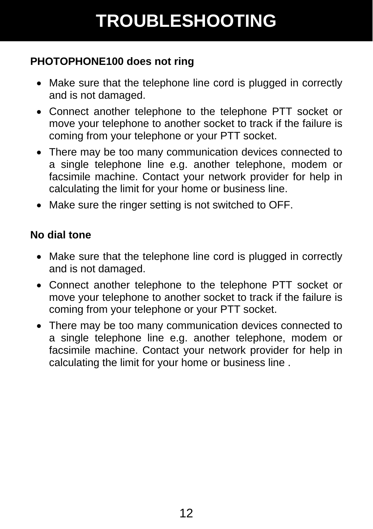## **TROUBLESHOOTING**

#### **PHOTOPHONE100 does not ring**

- Make sure that the telephone line cord is plugged in correctly and is not damaged.
- Connect another telephone to the telephone PTT socket or move your telephone to another socket to track if the failure is coming from your telephone or your PTT socket.
- There may be too many communication devices connected to a single telephone line e.g. another telephone, modem or facsimile machine. Contact your network provider for help in calculating the limit for your home or business line.
- Make sure the ringer setting is not switched to OFF.

#### **No dial tone**

- Make sure that the telephone line cord is plugged in correctly and is not damaged.
- Connect another telephone to the telephone PTT socket or move your telephone to another socket to track if the failure is coming from your telephone or your PTT socket.
- There may be too many communication devices connected to a single telephone line e.g. another telephone, modem or facsimile machine. Contact your network provider for help in calculating the limit for your home or business line .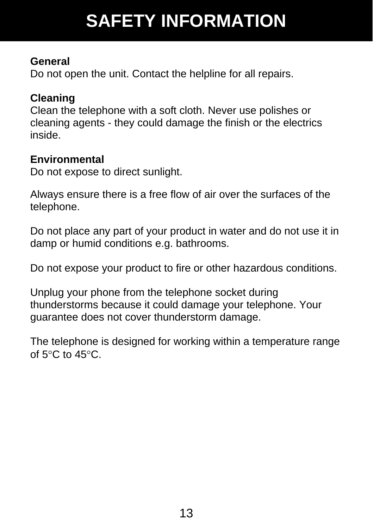## **SAFETY INFORMATION**

#### **General**

Do not open the unit. Contact the helpline for all repairs.

#### **Cleaning**

Clean the telephone with a soft cloth. Never use polishes or cleaning agents - they could damage the finish or the electrics inside.

#### **Environmental**

Do not expose to direct sunlight.

Always ensure there is a free flow of air over the surfaces of the telephone.

Do not place any part of your product in water and do not use it in damp or humid conditions e.g. bathrooms.

Do not expose your product to fire or other hazardous conditions.

Unplug your phone from the telephone socket during thunderstorms because it could damage your telephone. Your guarantee does not cover thunderstorm damage.

The telephone is designed for working within a temperature range of  $5^{\circ}$ C to  $45^{\circ}$ C.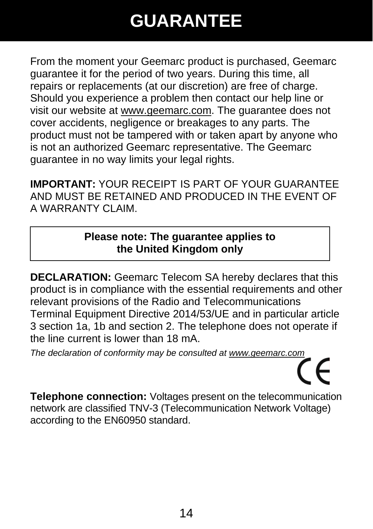## **GUARANTEE**

From the moment your Geemarc product is purchased, Geemarc guarantee it for the period of two years. During this time, all repairs or replacements (at our discretion) are free of charge. Should you experience a problem then contact our help line or visit our website at www.geemarc.com. The guarantee does not cover accidents, negligence or breakages to any parts. The product must not be tampered with or taken apart by anyone who is not an authorized Geemarc representative. The Geemarc guarantee in no way limits your legal rights.

**IMPORTANT:** YOUR RECEIPT IS PART OF YOUR GUARANTEE AND MUST BE RETAINED AND PRODUCED IN THE EVENT OF A WARRANTY CLAIM.

#### **Please note: The guarantee applies to the United Kingdom only**

**DECLARATION:** Geemarc Telecom SA hereby declares that this product is in compliance with the essential requirements and other relevant provisions of the Radio and Telecommunications Terminal Equipment Directive 2014/53/UE and in particular article 3 section 1a, 1b and section 2. The telephone does not operate if the line current is lower than 18 mA.

*The declaration of conformity may be consulted at www.geemarc.com*  $\epsilon$ 

**Telephone connection:** Voltages present on the telecommunication network are classified TNV-3 (Telecommunication Network Voltage) according to the EN60950 standard.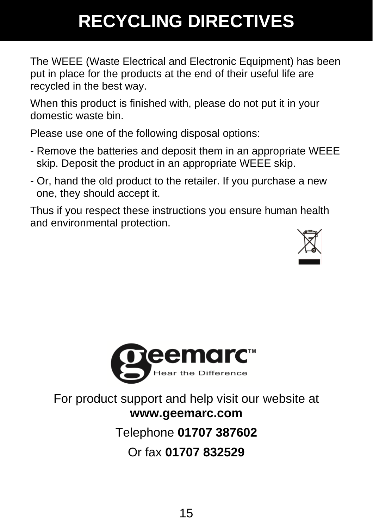## **RECYCLING DIRECTIVES**

The WEEE (Waste Electrical and Electronic Equipment) has been put in place for the products at the end of their useful life are recycled in the best way.

When this product is finished with, please do not put it in your domestic waste bin.

Please use one of the following disposal options:

- Remove the batteries and deposit them in an appropriate WEEE skip. Deposit the product in an appropriate WEEE skip.
- Or, hand the old product to the retailer. If you purchase a new one, they should accept it.

Thus if you respect these instructions you ensure human health and environmental protection.





For product support and help visit our website at **www.geemarc.com**

#### Telephone **01707 387602**

#### Or fax **01707 832529**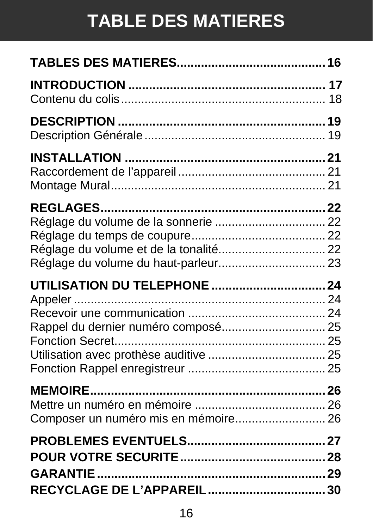## **TABLE DES MATIERES**

| UTILISATION DU TELEPHONE  24<br>Rappel du dernier numéro composé 25 |
|---------------------------------------------------------------------|
| Composer un numéro mis en mémoire 26                                |
|                                                                     |
|                                                                     |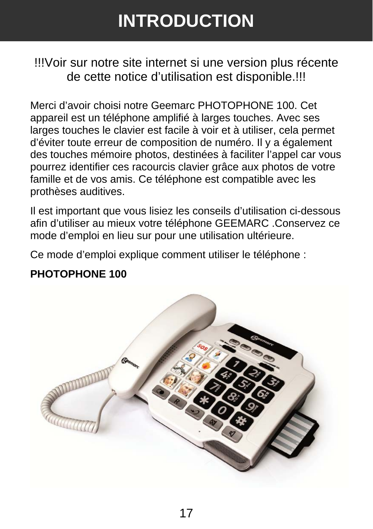## **INTRODUCTION**

!!!Voir sur notre site internet si une version plus récente de cette notice d'utilisation est disponible.!!!

Merci d'avoir choisi notre Geemarc PHOTOPHONE 100. Cet appareil est un téléphone amplifié à larges touches. Avec ses larges touches le clavier est facile à voir et à utiliser, cela permet d'éviter toute erreur de composition de numéro. Il y a également des touches mémoire photos, destinées à faciliter l'appel car vous pourrez identifier ces racourcis clavier grâce aux photos de votre famille et de vos amis. Ce téléphone est compatible avec les prothèses auditives.

Il est important que vous lisiez les conseils d'utilisation ci-dessous afin d'utiliser au mieux votre téléphone GEEMARC .Conservez ce mode d'emploi en lieu sur pour une utilisation ultérieure.

Ce mode d'emploi explique comment utiliser le téléphone :

#### **PHOTOPHONE 100**

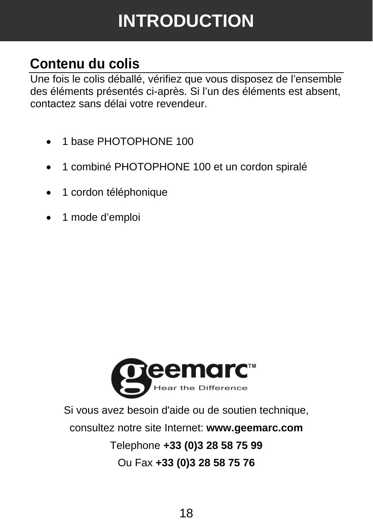## **INTRODUCTION**

### **Contenu du colis**

Une fois le colis déballé, vérifiez que vous disposez de l'ensemble des éléments présentés ci-après. Si l'un des éléments est absent, contactez sans délai votre revendeur.

- 1 base PHOTOPHONE 100
- 1 combiné PHOTOPHONE 100 et un cordon spiralé
- 1 cordon téléphonique
- 1 mode d'emploi



Si vous avez besoin d'aide ou de soutien technique, consultez notre site Internet: **www.geemarc.com** Telephone **+33 (0)3 28 58 75 99** Ou Fax **+33 (0)3 28 58 75 76**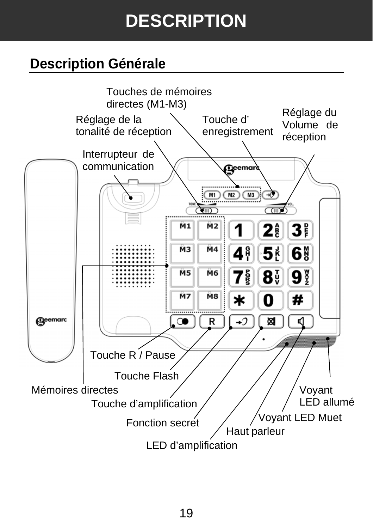## **DESCRIPTION**

### **Description Générale**

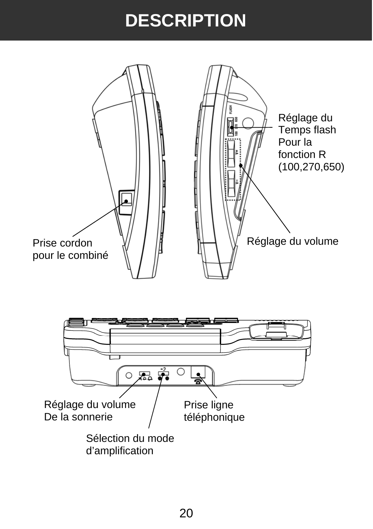## **DESCRIPTION**

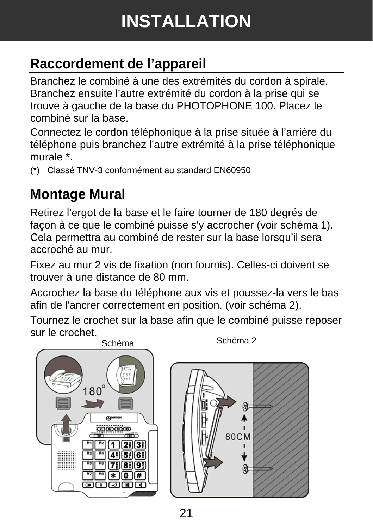## **INSTALLATION**

### **Raccordement de l'appareil**

Branchez le combiné à une des extrémités du cordon à spirale. Branchez ensuite l'autre extrémité du cordon à la prise qui se trouve à gauche de la base du PHOTOPHONE 100. Placez le combiné sur la base.

Connectez le cordon téléphonique à la prise située à l'arrière du téléphone puis branchez l'autre extrémité à la prise téléphonique murale \*.

(\*) Classé TNV-3 conformément au standard EN60950

### **Montage Mural**

Retirez l'ergot de la base et le faire tourner de 180 degrés de façon à ce que le combiné puisse s'y accrocher (voir schéma 1). Cela permettra au combiné de rester sur la base lorsqu'il sera accroché au mur.

Fixez au mur 2 vis de fixation (non fournis). Celles-ci doivent se trouver à une distance de 80 mm.

Accrochez la base du téléphone aux vis et poussez-la vers le bas afin de l'ancrer correctement en position. (voir schéma 2).

Tournez le crochet sur la base afin que le combiné puisse reposer sur le crochet.



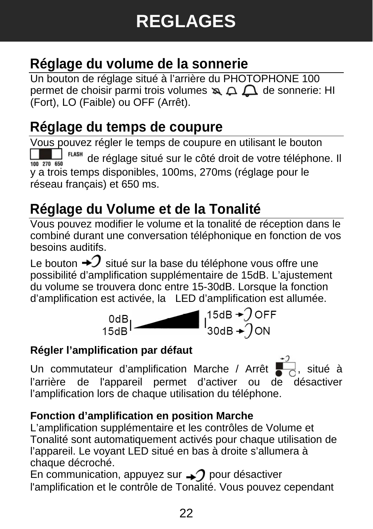### **Réglage du volume de la sonnerie**

Un bouton de réglage situé à l'arrière du PHOTOPHONE 100 permet de choisir parmi trois volumes  $\mathbb{A} \Delta \Delta$  de sonnerie: HI (Fort), LO (Faible) ou OFF (Arrêt).

### **Réglage du temps de coupure**

Vous pouvez régler le temps de coupure en utilisant le bouton  $\frac{1}{2}$  <sup>FLASH</sup> de réglage situé sur le côté droit de votre téléphone. Il 100 270 650 y a trois temps disponibles, 100ms, 270ms (réglage pour le réseau français) et 650 ms.

### **Réglage du Volume et de la Tonalité**

Vous pouvez modifier le volume et la tonalité de réception dans le combiné durant une conversation téléphonique en fonction de vos besoins auditifs.

Le bouton  $\bm{\div} \mathcal{I}$  situé sur la base du téléphone vous offre une possibilité d'amplification supplémentaire de 15dB. L'ajustement du volume se trouvera donc entre 15-30dB. Lorsque la fonction d'amplification est activée, la LED d'amplification est allumée.



#### **Régler l'amplification par défaut**

Un commutateur d'amplification Marche / Arrêt  $\overline{\bullet}$ , situé à l'arrière de l'appareil permet d'activer ou de désactiver l'amplification lors de chaque utilisation du téléphone.

#### **Fonction d'amplification en position Marche**

L'amplification supplémentaire et les contrôles de Volume et Tonalité sont automatiquement activés pour chaque utilisation de l'appareil. Le voyant LED situé en bas à droite s'allumera à chaque décroché.

En communication, appuyez sur  $\rightarrow$  pour désactiver l'amplification et le contrôle de Tonalité. Vous pouvez cependant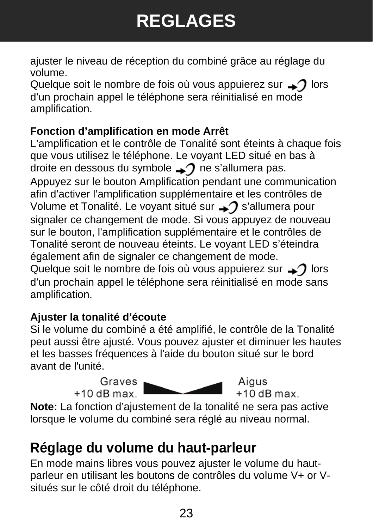## **REGLAGES**

ajuster le niveau de réception du combiné grâce au réglage du volume.

Quelque soit le nombre de fois où vous appuierez sur  $\rightarrow$  lors d'un prochain appel le téléphone sera réinitialisé en mode amplification.

#### **Fonction d'amplification en mode Arrêt**

L'amplification et le contrôle de Tonalité sont éteints à chaque fois que vous utilisez le téléphone. Le voyant LED situé en bas à droite en dessous du symbole  $\rightarrow$  ne s'allumera pas. Appuyez sur le bouton Amplification pendant une communication afin d'activer l'amplification supplémentaire et les contrôles de Volume et Tonalité. Le voyant situé sur  $\rightarrow$  s'allumera pour signaler ce changement de mode. Si vous appuyez de nouveau sur le bouton, l'amplification supplémentaire et le contrôles de Tonalité seront de nouveau éteints. Le voyant LED s'éteindra également afin de signaler ce changement de mode. Quelque soit le nombre de fois où vous appuierez sur  $\rightarrow$  lors d'un prochain appel le téléphone sera réinitialisé en mode sans amplification.

#### **Ajuster la tonalité d'écoute**

Si le volume du combiné a été amplifié, le contrôle de la Tonalité peut aussi être ajusté. Vous pouvez ajuster et diminuer les hautes et les basses fréquences à l'aide du bouton situé sur le bord avant de l'unité.

> Graves  $+10$  dB max



Aigus  $+10$  dB max

**Note:** La fonction d'ajustement de la tonalité ne sera pas active lorsque le volume du combiné sera réglé au niveau normal.

### **Réglage du volume du haut-parleur**

En mode mains libres vous pouvez ajuster le volume du hautparleur en utilisant les boutons de contrôles du volume V+ or Vsitués sur le côté droit du téléphone.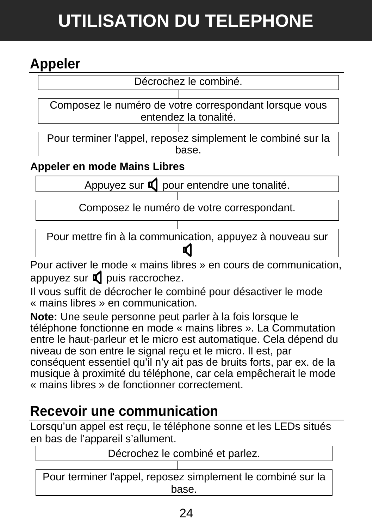## **UTILISATION DU TELEPHONE**

### **Appeler**

Décrochez le combiné.

Composez le numéro de votre correspondant lorsque vous entendez la tonalité.

Pour terminer l'appel, reposez simplement le combiné sur la <u>base.</u>

**Appeler en mode Mains Libres** 

Appuyez sur  $\blacksquare$  pour entendre une tonalité.

Composez le numéro de votre correspondant.

Pour mettre fin à la communication, appuyez à nouveau sur

Pour activer le mode « mains libres » en cours de communication, appuyez sur  $\Box$  puis raccrochez.

Il vous suffit de décrocher le combiné pour désactiver le mode « mains libres » en communication.

**Note:** Une seule personne peut parler à la fois lorsque le téléphone fonctionne en mode « mains libres ». La Commutation entre le haut-parleur et le micro est automatique. Cela dépend du niveau de son entre le signal reçu et le micro. Il est, par conséquent essentiel qu'il n'y ait pas de bruits forts, par ex. de la musique à proximité du téléphone, car cela empêcherait le mode « mains libres » de fonctionner correctement.

### **Recevoir une communication**

Lorsqu'un appel est reçu, le téléphone sonne et les LEDs situés en bas de l'appareil s'allument.

Décrochez le combiné et parlez.

Pour terminer l'appel, reposez simplement le combiné sur la base.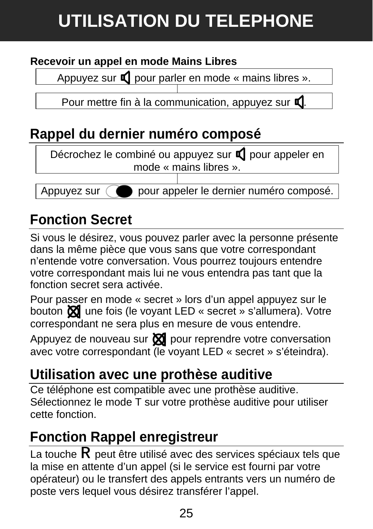## **UTILISATION DU TELEPHONE**

#### **Recevoir un appel en mode Mains Libres**

Appuyez sur  $\Box$  pour parler en mode « mains libres ».

Pour mettre fin à la communication, appuyez sur  $\Box$ 

### **Rappel du dernier numéro composé**



### **Fonction Secret**

Si vous le désirez, vous pouvez parler avec la personne présente dans la même pièce que vous sans que votre correspondant n'entende votre conversation. Vous pourrez toujours entendre votre correspondant mais lui ne vous entendra pas tant que la fonction secret sera activée.

Pour passer en mode « secret » lors d'un appel appuyez sur le bouton  $\bigotimes$  une fois (le voyant LED « secret » s'allumera). Votre correspondant ne sera plus en mesure de vous entendre.

Appuyez de nouveau sur  $\boxtimes$  pour reprendre votre conversation avec votre correspondant (le voyant LED « secret » s'éteindra).

### **Utilisation avec une prothèse auditive**

Ce téléphone est compatible avec une prothèse auditive. Sélectionnez le mode T sur votre prothèse auditive pour utiliser cette fonction.

### **Fonction Rappel enregistreur**

La touche  $\mathsf R$  peut être utilisé avec des services spéciaux tels que la mise en attente d'un appel (si le service est fourni par votre opérateur) ou le transfert des appels entrants vers un numéro de poste vers lequel vous désirez transférer l'appel.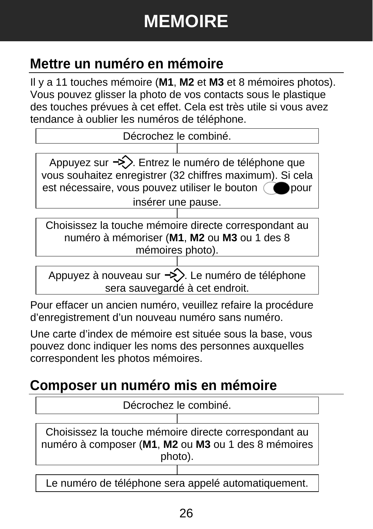## **MEMOIRE**

### **Mettre un numéro en mémoire**

Il y a 11 touches mémoire (**M1**, **M2** et **M3** et 8 mémoires photos). Vous pouvez glisser la photo de vos contacts sous le plastique des touches prévues à cet effet. Cela est très utile si vous avez tendance à oublier les numéros de téléphone.



Appuyez sur  $\Rightarrow$ . Entrez le numéro de téléphone que vous souhaitez enregistrer (32 chiffres maximum). Si cela est nécessaire, vous pouvez utiliser le bouton  $\bigcirc$  pour

insérer une pause.

Choisissez la touche mémoire directe correspondant au numéro à mémoriser (**M1**, **M2** ou **M3** ou 1 des 8 mémoires photo).

Appuyez à nouveau sur  $\Rightarrow$ . Le numéro de téléphone sera sauvegardé à cet endroit.

Pour effacer un ancien numéro, veuillez refaire la procédure d'enregistrement d'un nouveau numéro sans numéro.

Une carte d'index de mémoire est située sous la base, vous pouvez donc indiquer les noms des personnes auxquelles correspondent les photos mémoires.

### **Composer un numéro mis en mémoire**

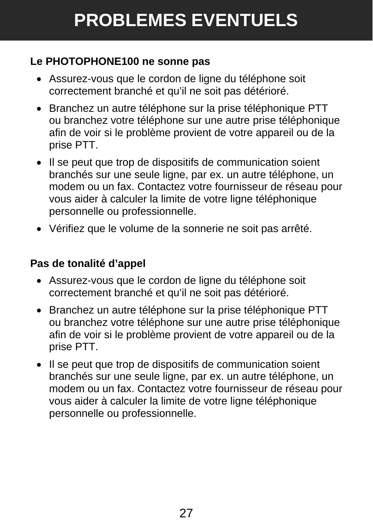#### **Le PHOTOPHONE100 ne sonne pas**

- Assurez-vous que le cordon de ligne du téléphone soit correctement branché et qu'il ne soit pas détérioré.
- Branchez un autre téléphone sur la prise téléphonique PTT ou branchez votre téléphone sur une autre prise téléphonique afin de voir si le problème provient de votre appareil ou de la prise PTT.
- Il se peut que trop de dispositifs de communication soient branchés sur une seule ligne, par ex. un autre téléphone, un modem ou un fax. Contactez votre fournisseur de réseau pour vous aider à calculer la limite de votre ligne téléphonique personnelle ou professionnelle.
- Vérifiez que le volume de la sonnerie ne soit pas arrêté.

#### **Pas de tonalité d'appel**

- Assurez-vous que le cordon de ligne du téléphone soit correctement branché et qu'il ne soit pas détérioré.
- Branchez un autre téléphone sur la prise téléphonique PTT ou branchez votre téléphone sur une autre prise téléphonique afin de voir si le problème provient de votre appareil ou de la prise PTT.
- Il se peut que trop de dispositifs de communication soient branchés sur une seule ligne, par ex. un autre téléphone, un modem ou un fax. Contactez votre fournisseur de réseau pour vous aider à calculer la limite de votre ligne téléphonique personnelle ou professionnelle.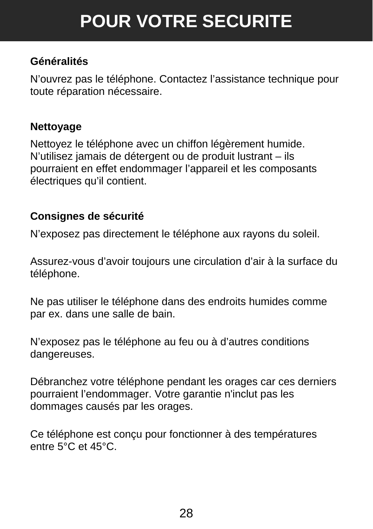## **POUR VOTRE SECURITE**

#### **Généralités**

N'ouvrez pas le téléphone. Contactez l'assistance technique pour toute réparation nécessaire.

#### **Nettoyage**

Nettoyez le téléphone avec un chiffon légèrement humide. N'utilisez jamais de détergent ou de produit lustrant – ils pourraient en effet endommager l'appareil et les composants électriques qu'il contient.

#### **Consignes de sécurité**

N'exposez pas directement le téléphone aux rayons du soleil.

Assurez-vous d'avoir toujours une circulation d'air à la surface du téléphone.

Ne pas utiliser le téléphone dans des endroits humides comme par ex. dans une salle de bain.

N'exposez pas le téléphone au feu ou à d'autres conditions dangereuses.

Débranchez votre téléphone pendant les orages car ces derniers pourraient l'endommager. Votre garantie n'inclut pas les dommages causés par les orages.

Ce téléphone est conçu pour fonctionner à des températures entre 5°C et 45°C.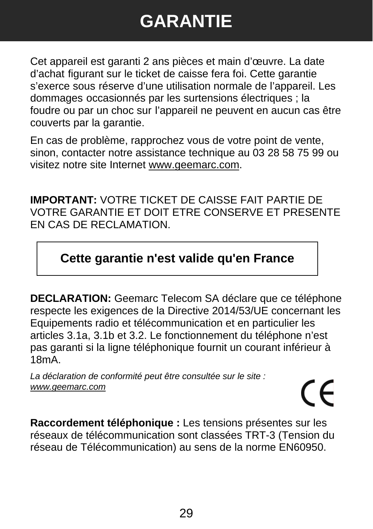## **GARANTIE**

Cet appareil est garanti 2 ans pièces et main d'œuvre. La date d'achat figurant sur le ticket de caisse fera foi. Cette garantie s'exerce sous réserve d'une utilisation normale de l'appareil. Les dommages occasionnés par les surtensions électriques ; la foudre ou par un choc sur l'appareil ne peuvent en aucun cas être couverts par la garantie.

En cas de problème, rapprochez vous de votre point de vente, sinon, contacter notre assistance technique au 03 28 58 75 99 ou visitez notre site Internet www.geemarc.com.

**IMPORTANT:** VOTRE TICKET DE CAISSE FAIT PARTIE DE VOTRE GARANTIE ET DOIT ETRE CONSERVE ET PRESENTE EN CAS DE RECLAMATION.

#### **Cette garantie n'est valide qu'en France**

**DECLARATION:** Geemarc Telecom SA déclare que ce téléphone respecte les exigences de la Directive 2014/53/UE concernant les Equipements radio et télécommunication et en particulier les articles 3.1a, 3.1b et 3.2. Le fonctionnement du téléphone n'est pas garanti si la ligne téléphonique fournit un courant inférieur à 18mA.

*La déclaration de conformité peut être consultée sur le site : www.geemarc.com*

# $\epsilon$

**Raccordement téléphonique :** Les tensions présentes sur les réseaux de télécommunication sont classées TRT-3 (Tension du réseau de Télécommunication) au sens de la norme EN60950.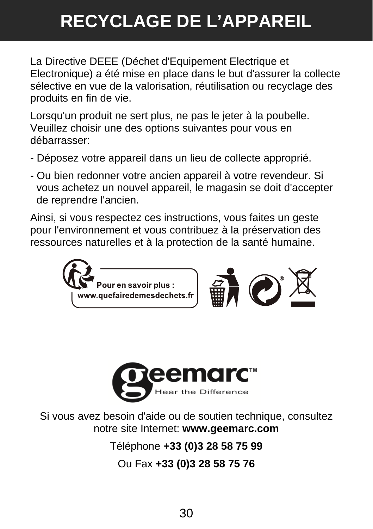## **RECYCLAGE DE L'APPAREIL**

La Directive DEEE (Déchet d'Equipement Electrique et Electronique) a été mise en place dans le but d'assurer la collecte sélective en vue de la valorisation, réutilisation ou recyclage des produits en fin de vie.

Lorsqu'un produit ne sert plus, ne pas le jeter à la poubelle. Veuillez choisir une des options suivantes pour vous en débarrasser:

- Déposez votre appareil dans un lieu de collecte approprié.
- Ou bien redonner votre ancien appareil à votre revendeur. Si vous achetez un nouvel appareil, le magasin se doit d'accepter de reprendre l'ancien.

Ainsi, si vous respectez ces instructions, vous faites un geste pour l'environnement et vous contribuez à la préservation des ressources naturelles et à la protection de la santé humaine.





Si vous avez besoin d'aide ou de soutien technique, consultez notre site Internet: **www.geemarc.com**

Téléphone **+33 (0)3 28 58 75 99**

Ou Fax **+33 (0)3 28 58 75 76**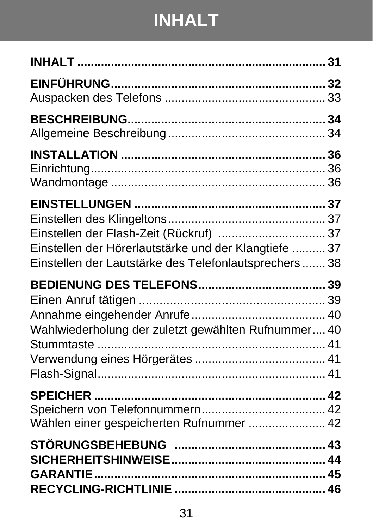## **INHALT**

| Einstellen der Flash-Zeit (Rückruf)  37<br>Einstellen der Hörerlautstärke und der Klangtiefe  37<br>Einstellen der Lautstärke des Telefonlautsprechers  38 |  |
|------------------------------------------------------------------------------------------------------------------------------------------------------------|--|
|                                                                                                                                                            |  |
| Wahlwiederholung der zuletzt gewählten Rufnummer 40<br>Stummtaste                                                                                          |  |
| Wählen einer gespeicherten Rufnummer  42                                                                                                                   |  |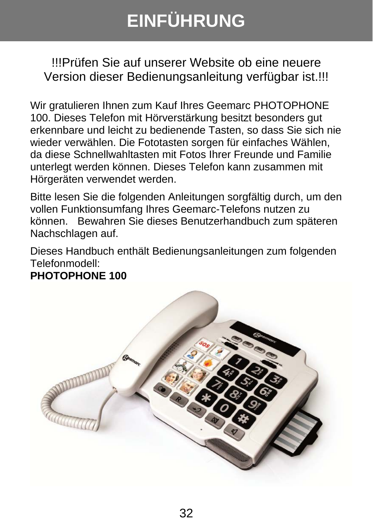## **EINFÜHRUNG**

!!!Prüfen Sie auf unserer Website ob eine neuere Version dieser Bedienungsanleitung verfügbar ist.!!!

Wir gratulieren Ihnen zum Kauf Ihres Geemarc PHOTOPHONE 100. Dieses Telefon mit Hörverstärkung besitzt besonders gut erkennbare und leicht zu bedienende Tasten, so dass Sie sich nie wieder verwählen. Die Fototasten sorgen für einfaches Wählen, da diese Schnellwahltasten mit Fotos Ihrer Freunde und Familie unterlegt werden können. Dieses Telefon kann zusammen mit Hörgeräten verwendet werden.

Bitte lesen Sie die folgenden Anleitungen sorgfältig durch, um den vollen Funktionsumfang Ihres Geemarc-Telefons nutzen zu können. Bewahren Sie dieses Benutzerhandbuch zum späteren Nachschlagen auf.

Dieses Handbuch enthält Bedienungsanleitungen zum folgenden Telefonmodell:

#### **PHOTOPHONE 100**

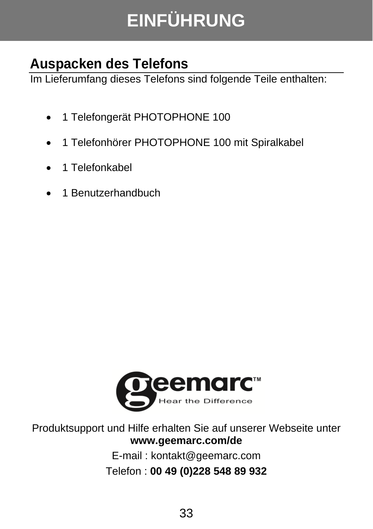## **EINFÜHRUNG**

### **Auspacken des Telefons**

Im Lieferumfang dieses Telefons sind folgende Teile enthalten:

- 1 Telefongerät PHOTOPHONE 100
- 1 Telefonhörer PHOTOPHONE 100 mit Spiralkabel
- 1 Telefonkabel
- 1 Benutzerhandbuch



Produktsupport und Hilfe erhalten Sie auf unserer Webseite unter **www.geemarc.com/de**

E-mail : kontakt@geemarc.com Telefon : **00 49 (0)228 548 89 932**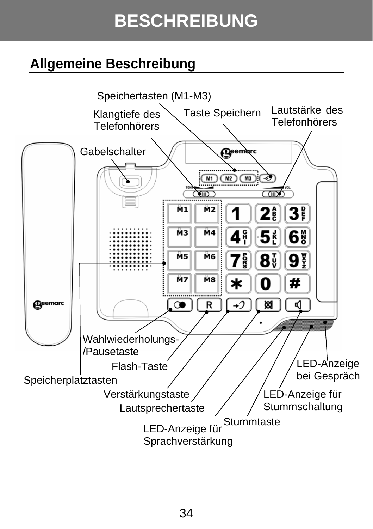## **BESCHREIBUNG**

### **Allgemeine Beschreibung**

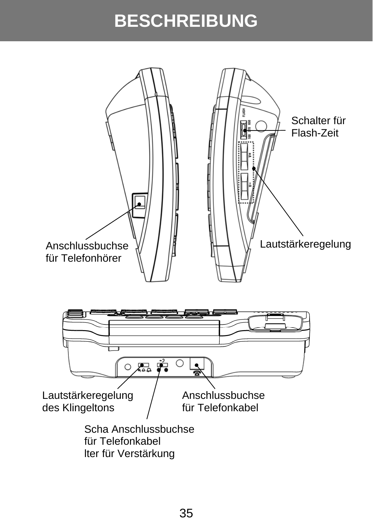## **BESCHREIBUNG**

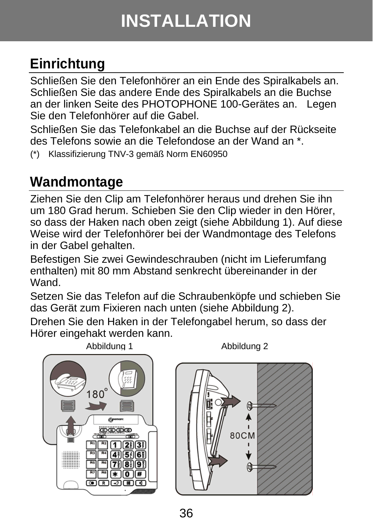## **INSTALLATION**

### **Einrichtung**

Schließen Sie den Telefonhörer an ein Ende des Spiralkabels an. Schließen Sie das andere Ende des Spiralkabels an die Buchse an der linken Seite des PHOTOPHONE 100-Gerätes an. Legen Sie den Telefonhörer auf die Gabel.

Schließen Sie das Telefonkabel an die Buchse auf der Rückseite des Telefons sowie an die Telefondose an der Wand an \*.

(\*) Klassifizierung TNV-3 gemäß Norm EN60950

### **Wandmontage**

Ziehen Sie den Clip am Telefonhörer heraus und drehen Sie ihn um 180 Grad herum. Schieben Sie den Clip wieder in den Hörer, so dass der Haken nach oben zeigt (siehe Abbildung 1). Auf diese Weise wird der Telefonhörer bei der Wandmontage des Telefons in der Gabel gehalten.

Befestigen Sie zwei Gewindeschrauben (nicht im Lieferumfang enthalten) mit 80 mm Abstand senkrecht übereinander in der Wand.

Setzen Sie das Telefon auf die Schraubenköpfe und schieben Sie das Gerät zum Fixieren nach unten (siehe Abbildung 2).

Drehen Sie den Haken in der Telefongabel herum, so dass der Hörer eingehakt werden kann.

Abbildung 1 Abbildung 2



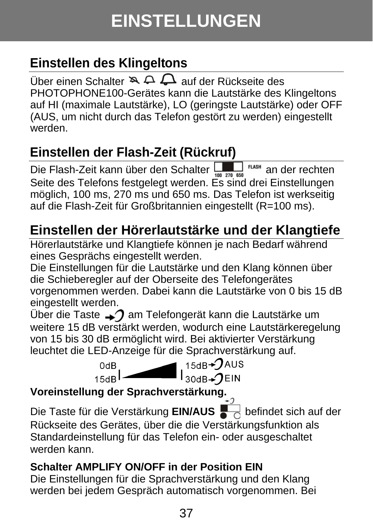### **Einstellen des Klingeltons**

Über einen Schalter  $\mathbb{R} \triangle \mathbb{Q}$  auf der Rückseite des PHOTOPHONE100-Gerätes kann die Lautstärke des Klingeltons auf HI (maximale Lautstärke), LO (geringste Lautstärke) oder OFF (AUS, um nicht durch das Telefon gestört zu werden) eingestellt werden.

### **Einstellen der Flash-Zeit (Rückruf)**

Die Flash-Zeit kann über den Schalter **von den den den den der rechten** Seite des Telefons festgelegt werden. Es sind drei Einstellungen möglich, 100 ms, 270 ms und 650 ms. Das Telefon ist werkseitig auf die Flash-Zeit für Großbritannien eingestellt (R=100 ms).

### **Einstellen der Hörerlautstärke und der Klangtiefe**

Hörerlautstärke und Klangtiefe können je nach Bedarf während eines Gesprächs eingestellt werden.

Die Einstellungen für die Lautstärke und den Klang können über die Schieberegler auf der Oberseite des Telefongerätes vorgenommen werden. Dabei kann die Lautstärke von 0 bis 15 dB eingestellt werden.

Über die Taste  $\rightarrow$  am Telefongerät kann die Lautstärke um weitere 15 dB verstärkt werden, wodurch eine Lautstärkeregelung von 15 bis 30 dB ermöglicht wird. Bei aktivierter Verstärkung leuchtet die LED-Anzeige für die Sprachverstärkung auf.



#### **Voreinstellung der Sprachverstärkung.**

Die Taste für die Verstärkung **EIN/AUS** befindet sich auf der Rückseite des Gerätes, über die die Verstärkungsfunktion als Standardeinstellung für das Telefon ein- oder ausgeschaltet werden kann.

#### **Schalter AMPLIFY ON/OFF in der Position EIN**

Die Einstellungen für die Sprachverstärkung und den Klang werden bei jedem Gespräch automatisch vorgenommen. Bei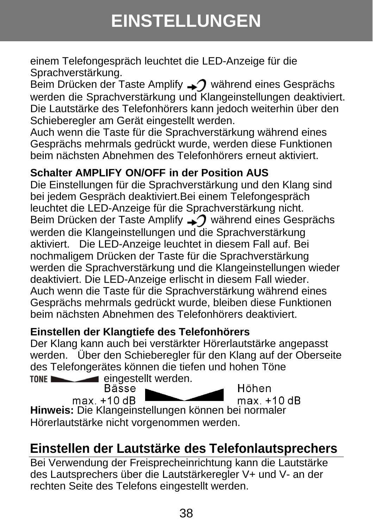## **EINSTELLUNGEN**

einem Telefongespräch leuchtet die LED-Anzeige für die Sprachverstärkung.

Beim Drücken der Taste Amplify  $\rightarrow$  während eines Gesprächs werden die Sprachverstärkung und Klangeinstellungen deaktiviert. Die Lautstärke des Telefonhörers kann jedoch weiterhin über den Schieberegler am Gerät eingestellt werden.

Auch wenn die Taste für die Sprachverstärkung während eines Gesprächs mehrmals gedrückt wurde, werden diese Funktionen beim nächsten Abnehmen des Telefonhörers erneut aktiviert.

#### **Schalter AMPLIFY ON/OFF in der Position AUS**

Die Einstellungen für die Sprachverstärkung und den Klang sind bei jedem Gespräch deaktiviert.Bei einem Telefongespräch leuchtet die LED-Anzeige für die Sprachverstärkung nicht. Beim Drücken der Taste Amplify  $\rightarrow$  während eines Gesprächs werden die Klangeinstellungen und die Sprachverstärkung aktiviert. Die LED-Anzeige leuchtet in diesem Fall auf. Bei nochmaligem Drücken der Taste für die Sprachverstärkung werden die Sprachverstärkung und die Klangeinstellungen wieder deaktiviert. Die LED-Anzeige erlischt in diesem Fall wieder. Auch wenn die Taste für die Sprachverstärkung während eines Gesprächs mehrmals gedrückt wurde, bleiben diese Funktionen beim nächsten Abnehmen des Telefonhörers deaktiviert.

#### **Einstellen der Klangtiefe des Telefonhörers**

Der Klang kann auch bei verstärkter Hörerlautstärke angepasst werden. Über den Schieberegler für den Klang auf der Oberseite des Telefongerätes können die tiefen und hohen Töne TONE

eingestellt werden.<br>Bässe Höhen max. +10 dB  $max.+10 dB$ **Hinweis:** Die Klangeinstellungen können bei normaler Hörerlautstärke nicht vorgenommen werden.

### **Einstellen der Lautstärke des Telefonlautsprechers**

Bei Verwendung der Freisprecheinrichtung kann die Lautstärke des Lautsprechers über die Lautstärkeregler V+ und V- an der rechten Seite des Telefons eingestellt werden.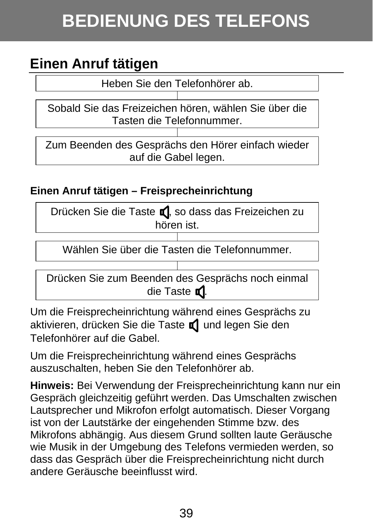## **BEDIENUNG DES TELEFONS**

### **Einen Anruf tätigen**

Heben Sie den Telefonhörer ab.

Sobald Sie das Freizeichen hören, wählen Sie über die Tasten die Telefonnummer.

Zum Beenden des Gesprächs den Hörer einfach wieder auf die Gabel legen.

#### **Einen Anruf tätigen – Freisprecheinrichtung**

| Drücken Sie die Taste C, so dass das Freizeichen zu |
|-----------------------------------------------------|
| hören ist.                                          |

Wählen Sie über die Tasten die Telefonnummer.

Drücken Sie zum Beenden des Gesprächs noch einmal die Taste  $\blacksquare$ 

Um die Freisprecheinrichtung während eines Gesprächs zu aktivieren, drücken Sie die Taste naund legen Sie den Telefonhörer auf die Gabel.

Um die Freisprecheinrichtung während eines Gesprächs auszuschalten, heben Sie den Telefonhörer ab.

**Hinweis:** Bei Verwendung der Freisprecheinrichtung kann nur ein Gespräch gleichzeitig geführt werden. Das Umschalten zwischen Lautsprecher und Mikrofon erfolgt automatisch. Dieser Vorgang ist von der Lautstärke der eingehenden Stimme bzw. des Mikrofons abhängig. Aus diesem Grund sollten laute Geräusche wie Musik in der Umgebung des Telefons vermieden werden, so dass das Gespräch über die Freisprecheinrichtung nicht durch andere Geräusche beeinflusst wird.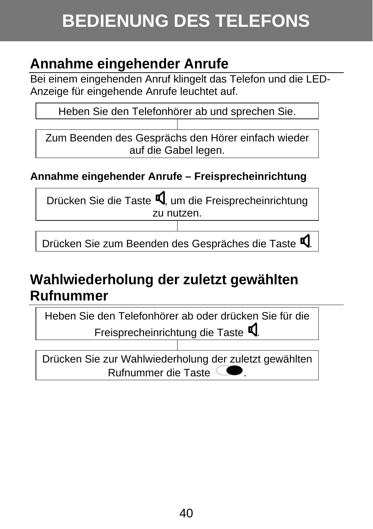## **BEDIENUNG DES TELEFONS**

### **Annahme eingehender Anrufe**

Bei einem eingehenden Anruf klingelt das Telefon und die LED-Anzeige für eingehende Anrufe leuchtet auf.

Heben Sie den Telefonhörer ab und sprechen Sie.

 Zum Beenden des Gesprächs den Hörer einfach wieder auf die Gabel legen.

#### **Annahme eingehender Anrufe – Freisprecheinrichtung**

Drücken Sie die Taste  $\Psi$ , um die Freisprecheinrichtung zu nutzen.

Drücken Sie zum Beenden des Gespräches die Taste  $\P$ .

### **Wahlwiederholung der zuletzt gewählten Rufnummer**

Heben Sie den Telefonhörer ab oder drücken Sie für die Freisprecheinrichtung die Taste  $\P$ .

Drücken Sie zur Wahlwiederholung der zuletzt gewählten Rufnummer die Taste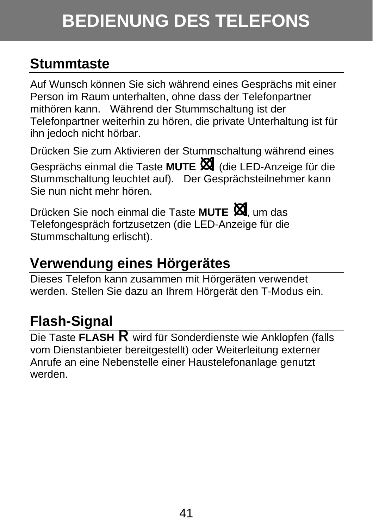## **BEDIENUNG DES TELEFONS**

### **Stummtaste**

Auf Wunsch können Sie sich während eines Gesprächs mit einer Person im Raum unterhalten, ohne dass der Telefonpartner mithören kann. Während der Stummschaltung ist der Telefonpartner weiterhin zu hören, die private Unterhaltung ist für ihn jedoch nicht hörbar.

Drücken Sie zum Aktivieren der Stummschaltung während eines Gesprächs einmal die Taste **MUTE** (die LED-Anzeige für die Stummschaltung leuchtet auf). Der Gesprächsteilnehmer kann Sie nun nicht mehr hören.

Drücken Sie noch einmal die Taste **MUTE** , um das Telefongespräch fortzusetzen (die LED-Anzeige für die Stummschaltung erlischt).

### **Verwendung eines Hörgerätes**

Dieses Telefon kann zusammen mit Hörgeräten verwendet werden. Stellen Sie dazu an Ihrem Hörgerät den T-Modus ein.

### **Flash-Signal**

Die Taste FLASH R wird für Sonderdienste wie Anklopfen (falls vom Dienstanbieter bereitgestellt) oder Weiterleitung externer Anrufe an eine Nebenstelle einer Haustelefonanlage genutzt werden.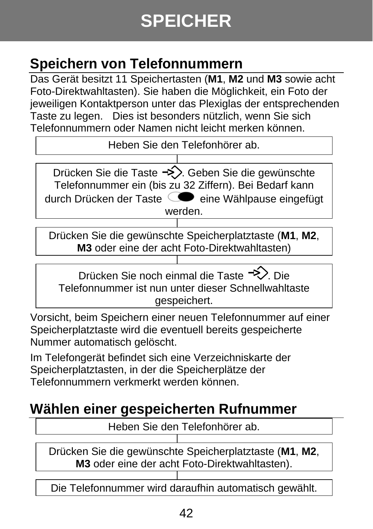## **SPEICHER**

### **Speichern von Telefonnummern**

Das Gerät besitzt 11 Speichertasten (**M1**, **M2** und **M3** sowie acht Foto-Direktwahltasten). Sie haben die Möglichkeit, ein Foto der jeweiligen Kontaktperson unter das Plexiglas der entsprechenden Taste zu legen. Dies ist besonders nützlich, wenn Sie sich Telefonnummern oder Namen nicht leicht merken können.

Heben Sie den Telefonhörer ab.

Drücken Sie die Taste  $\rightarrow$ . Geben Sie die gewünschte Telefonnummer ein (bis zu 32 Ziffern). Bei Bedarf kann durch Drücken der Taste  $\bigcirc$ eine Wählpause eingefügt werden.

Drücken Sie die gewünschte Speicherplatztaste (**M1**, **M2**, **M3** oder eine der acht Foto-Direktwahltasten)

Drücken Sie noch einmal die Taste <sup>-></sup>> Die Telefonnummer ist nun unter dieser Schnellwahltaste gespeichert.

Vorsicht, beim Speichern einer neuen Telefonnummer auf einer Speicherplatztaste wird die eventuell bereits gespeicherte Nummer automatisch gelöscht.

Im Telefongerät befindet sich eine Verzeichniskarte der Speicherplatztasten, in der die Speicherplätze der Telefonnummern verkmerkt werden können.

### **Wählen einer gespeicherten Rufnummer**

Heben Sie den Telefonhörer ab.

Drücken Sie die gewünschte Speicherplatztaste (**M1**, **M2**, **M3** oder eine der acht Foto-Direktwahltasten).

Die Telefonnummer wird daraufhin automatisch gewählt.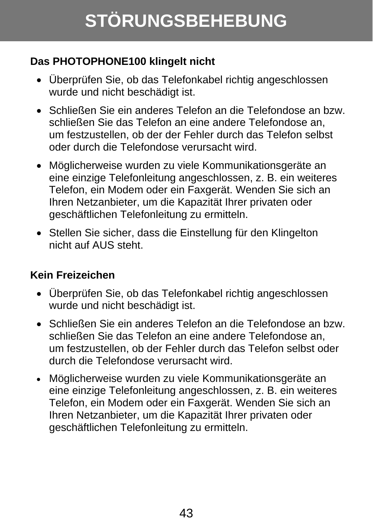## **STÖRUNGSBEHEBUNG**

#### **Das PHOTOPHONE100 klingelt nicht**

- Überprüfen Sie, ob das Telefonkabel richtig angeschlossen wurde und nicht beschädigt ist.
- Schließen Sie ein anderes Telefon an die Telefondose an bzw. schließen Sie das Telefon an eine andere Telefondose an, um festzustellen, ob der der Fehler durch das Telefon selbst oder durch die Telefondose verursacht wird.
- Möglicherweise wurden zu viele Kommunikationsgeräte an eine einzige Telefonleitung angeschlossen, z. B. ein weiteres Telefon, ein Modem oder ein Faxgerät. Wenden Sie sich an Ihren Netzanbieter, um die Kapazität Ihrer privaten oder geschäftlichen Telefonleitung zu ermitteln.
- Stellen Sie sicher, dass die Einstellung für den Klingelton nicht auf AUS steht.

#### **Kein Freizeichen**

- Überprüfen Sie, ob das Telefonkabel richtig angeschlossen wurde und nicht beschädigt ist.
- Schließen Sie ein anderes Telefon an die Telefondose an bzw. schließen Sie das Telefon an eine andere Telefondose an, um festzustellen, ob der Fehler durch das Telefon selbst oder durch die Telefondose verursacht wird.
- Möglicherweise wurden zu viele Kommunikationsgeräte an eine einzige Telefonleitung angeschlossen, z. B. ein weiteres Telefon, ein Modem oder ein Faxgerät. Wenden Sie sich an Ihren Netzanbieter, um die Kapazität Ihrer privaten oder geschäftlichen Telefonleitung zu ermitteln.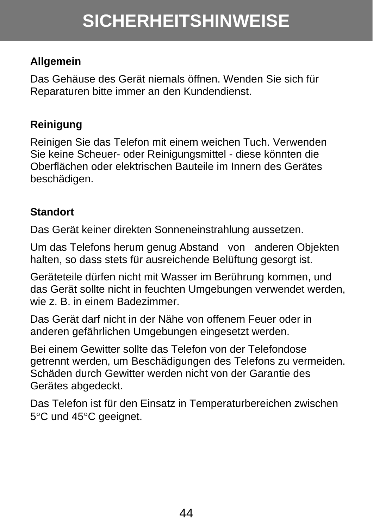#### **Allgemein**

Das Gehäuse des Gerät niemals öffnen. Wenden Sie sich für Reparaturen bitte immer an den Kundendienst.

#### **Reinigung**

Reinigen Sie das Telefon mit einem weichen Tuch. Verwenden Sie keine Scheuer- oder Reinigungsmittel - diese könnten die Oberflächen oder elektrischen Bauteile im Innern des Gerätes beschädigen.

#### **Standort**

Das Gerät keiner direkten Sonneneinstrahlung aussetzen.

Um das Telefons herum genug Abstand von anderen Objekten halten, so dass stets für ausreichende Belüftung gesorgt ist.

Geräteteile dürfen nicht mit Wasser im Berührung kommen, und das Gerät sollte nicht in feuchten Umgebungen verwendet werden, wie z. B. in einem Badezimmer.

Das Gerät darf nicht in der Nähe von offenem Feuer oder in anderen gefährlichen Umgebungen eingesetzt werden.

Bei einem Gewitter sollte das Telefon von der Telefondose getrennt werden, um Beschädigungen des Telefons zu vermeiden. Schäden durch Gewitter werden nicht von der Garantie des Gerätes abgedeckt.

Das Telefon ist für den Einsatz in Temperaturbereichen zwischen 5°C und 45°C geeignet.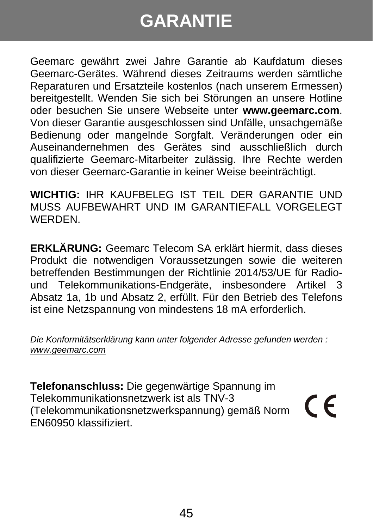## **GARANTIE**

Geemarc gewährt zwei Jahre Garantie ab Kaufdatum dieses Geemarc-Gerätes. Während dieses Zeitraums werden sämtliche Reparaturen und Ersatzteile kostenlos (nach unserem Ermessen) bereitgestellt. Wenden Sie sich bei Störungen an unsere Hotline oder besuchen Sie unsere Webseite unter **www.geemarc.com**. Von dieser Garantie ausgeschlossen sind Unfälle, unsachgemäße Bedienung oder mangelnde Sorgfalt. Veränderungen oder ein Auseinandernehmen des Gerätes sind ausschließlich durch qualifizierte Geemarc-Mitarbeiter zulässig. Ihre Rechte werden von dieser Geemarc-Garantie in keiner Weise beeinträchtigt.

**WICHTIG:** IHR KAUFBELEG IST TEIL DER GARANTIE UND MUSS AUFBEWAHRT UND IM GARANTIEFALL VORGELEGT WERDEN.

**ERKLÄRUNG:** Geemarc Telecom SA erklärt hiermit, dass dieses Produkt die notwendigen Voraussetzungen sowie die weiteren betreffenden Bestimmungen der Richtlinie 2014/53/UE für Radiound Telekommunikations-Endgeräte, insbesondere Artikel 3 Absatz 1a, 1b und Absatz 2, erfüllt. Für den Betrieb des Telefons ist eine Netzspannung von mindestens 18 mA erforderlich.

*Die Konformitätserklärung kann unter folgender Adresse gefunden werden : www.geemarc.com*

**Telefonanschluss:** Die gegenwärtige Spannung im Telekommunikationsnetzwerk ist als TNV-3 (Telekommunikationsnetzwerkspannung) gemäß Norm EN60950 klassifiziert.

CE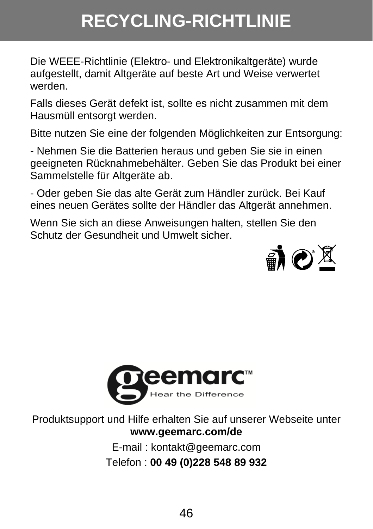## **RECYCLING-RICHTLINIE**

Die WEEE-Richtlinie (Elektro- und Elektronikaltgeräte) wurde aufgestellt, damit Altgeräte auf beste Art und Weise verwertet werden.

Falls dieses Gerät defekt ist, sollte es nicht zusammen mit dem Hausmüll entsorgt werden.

Bitte nutzen Sie eine der folgenden Möglichkeiten zur Entsorgung:

- Nehmen Sie die Batterien heraus und geben Sie sie in einen geeigneten Rücknahmebehälter. Geben Sie das Produkt bei einer Sammelstelle für Altgeräte ab.

- Oder geben Sie das alte Gerät zum Händler zurück. Bei Kauf eines neuen Gerätes sollte der Händler das Altgerät annehmen.

Wenn Sie sich an diese Anweisungen halten, stellen Sie den Schutz der Gesundheit und Umwelt sicher.





Produktsupport und Hilfe erhalten Sie auf unserer Webseite unter **www.geemarc.com/de**

> E-mail : kontakt@geemarc.com Telefon : **00 49 (0)228 548 89 932**